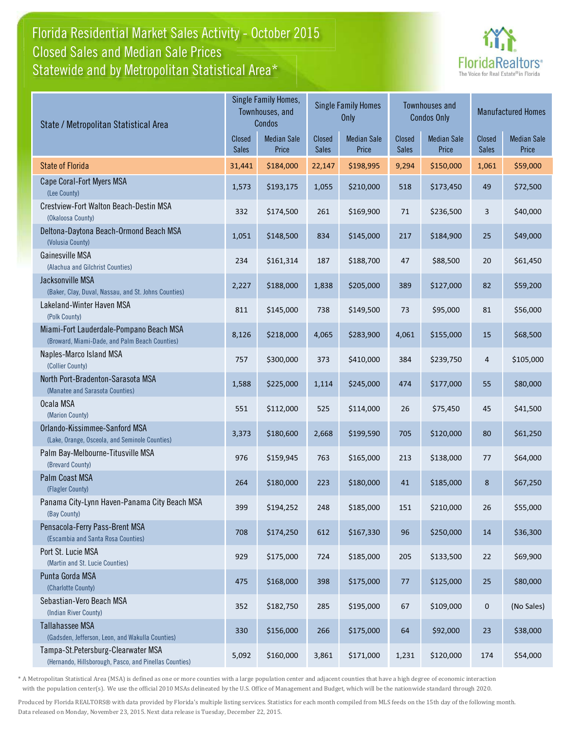## Florida Residential Market Sales Activity - October 2015 Florida Residential Market Sales Activity Statewide and by Metropolitan Statistical Area $^{\star}$ Closed Sales and Median Sale Prices



| State / Metropolitan Statistical Area                                                        | Single Family Homes,<br>Townhouses, and<br>Condos |                             | <b>Single Family Homes</b><br>Only |                             | <b>Townhouses and</b><br><b>Condos Only</b> |                             | <b>Manufactured Homes</b>     |                             |
|----------------------------------------------------------------------------------------------|---------------------------------------------------|-----------------------------|------------------------------------|-----------------------------|---------------------------------------------|-----------------------------|-------------------------------|-----------------------------|
|                                                                                              |                                                   | <b>Median Sale</b><br>Price | Closed<br><b>Sales</b>             | <b>Median Sale</b><br>Price | <b>Closed</b><br>Sales                      | <b>Median Sale</b><br>Price | <b>Closed</b><br><b>Sales</b> | <b>Median Sale</b><br>Price |
| <b>State of Florida</b>                                                                      | 31,441                                            | \$184,000                   | 22,147                             | \$198,995                   | 9,294                                       | \$150,000                   | 1,061                         | \$59,000                    |
| Cape Coral-Fort Myers MSA<br>(Lee County)                                                    | 1,573                                             | \$193,175                   | 1,055                              | \$210,000                   | 518                                         | \$173,450                   | 49                            | \$72,500                    |
| Crestview-Fort Walton Beach-Destin MSA<br>(Okaloosa County)                                  | 332                                               | \$174,500                   | 261                                | \$169,900                   | $71\,$                                      | \$236,500                   | 3                             | \$40,000                    |
| Deltona-Daytona Beach-Ormond Beach MSA<br>(Volusia County)                                   | 1,051                                             | \$148,500                   | 834                                | \$145,000                   | 217                                         | \$184,900                   | 25                            | \$49,000                    |
| Gainesville MSA<br>(Alachua and Gilchrist Counties)                                          | 234                                               | \$161,314                   | 187                                | \$188,700                   | 47                                          | \$88,500                    | 20                            | \$61,450                    |
| Jacksonville MSA<br>(Baker, Clay, Duval, Nassau, and St. Johns Counties)                     | 2,227                                             | \$188,000                   | 1,838                              | \$205,000                   | 389                                         | \$127,000                   | 82                            | \$59,200                    |
| Lakeland-Winter Haven MSA<br>(Polk County)                                                   | 811                                               | \$145,000                   | 738                                | \$149,500                   | 73                                          | \$95,000                    | 81                            | \$56,000                    |
| Miami-Fort Lauderdale-Pompano Beach MSA<br>(Broward, Miami-Dade, and Palm Beach Counties)    | 8,126                                             | \$218,000                   | 4,065                              | \$283,900                   | 4,061                                       | \$155,000                   | 15                            | \$68,500                    |
| Naples-Marco Island MSA<br>(Collier County)                                                  | 757                                               | \$300,000                   | 373                                | \$410,000                   | 384                                         | \$239,750                   | 4                             | \$105,000                   |
| North Port-Bradenton-Sarasota MSA<br>(Manatee and Sarasota Counties)                         | 1,588                                             | \$225,000                   | 1,114                              | \$245,000                   | 474                                         | \$177,000                   | 55                            | \$80,000                    |
| Ocala MSA<br>(Marion County)                                                                 | 551                                               | \$112,000                   | 525                                | \$114,000                   | 26                                          | \$75,450                    | 45                            | \$41,500                    |
| Orlando-Kissimmee-Sanford MSA<br>(Lake, Orange, Osceola, and Seminole Counties)              | 3,373                                             | \$180,600                   | 2,668                              | \$199,590                   | 705                                         | \$120,000                   | 80                            | \$61,250                    |
| Palm Bay-Melbourne-Titusville MSA<br>(Brevard County)                                        | 976                                               | \$159,945                   | 763                                | \$165,000                   | 213                                         | \$138,000                   | 77                            | \$64,000                    |
| Palm Coast MSA<br>(Flagler County)                                                           | 264                                               | \$180,000                   | 223                                | \$180,000                   | 41                                          | \$185,000                   | 8                             | \$67,250                    |
| Panama City-Lynn Haven-Panama City Beach MSA<br>(Bay County)                                 | 399                                               | \$194,252                   | 248                                | \$185,000                   | 151                                         | \$210,000                   | 26                            | \$55,000                    |
| Pensacola-Ferry Pass-Brent MSA<br>(Escambia and Santa Rosa Counties)                         | 708                                               | \$174,250                   | 612                                | \$167,330                   | 96                                          | \$250,000                   | 14                            | \$36,300                    |
| Port St. Lucie MSA<br>(Martin and St. Lucie Counties)                                        | 929                                               | \$175,000                   | 724                                | \$185,000                   | 205                                         | \$133,500                   | 22                            | \$69,900                    |
| Punta Gorda MSA<br>(Charlotte County)                                                        | 475                                               | \$168,000                   | 398                                | \$175,000                   | $77\,$                                      | \$125,000                   | 25                            | \$80,000                    |
| Sebastian-Vero Beach MSA<br>(Indian River County)                                            | 352                                               | \$182,750                   | 285                                | \$195,000                   | 67                                          | \$109,000                   | 0                             | (No Sales)                  |
| <b>Tallahassee MSA</b><br>(Gadsden, Jefferson, Leon, and Wakulla Counties)                   | 330                                               | \$156,000                   | 266                                | \$175,000                   | 64                                          | \$92,000                    | 23                            | \$38,000                    |
| Tampa-St.Petersburg-Clearwater MSA<br>(Hernando, Hillsborough, Pasco, and Pinellas Counties) | 5,092                                             | \$160,000                   | 3,861                              | \$171,000                   | 1,231                                       | \$120,000                   | 174                           | \$54,000                    |

\* A Metropolitan Statistical Area (MSA) is defined as one or more counties with a large population center and adjacent counties that have a high degree of economic interaction with the population center(s). We use the official 2010 MSAs delineated by the U.S. Office of Management and Budget, which will be the nationwide standard through 2020.

Produced by Florida REALTORS® with data provided by Florida's multiple listing services. Statistics for each month compiled from MLS feeds on the 15th day of the following month. Data released on Monday, November 23, 2015. Next data release is Tuesday, December 22, 2015.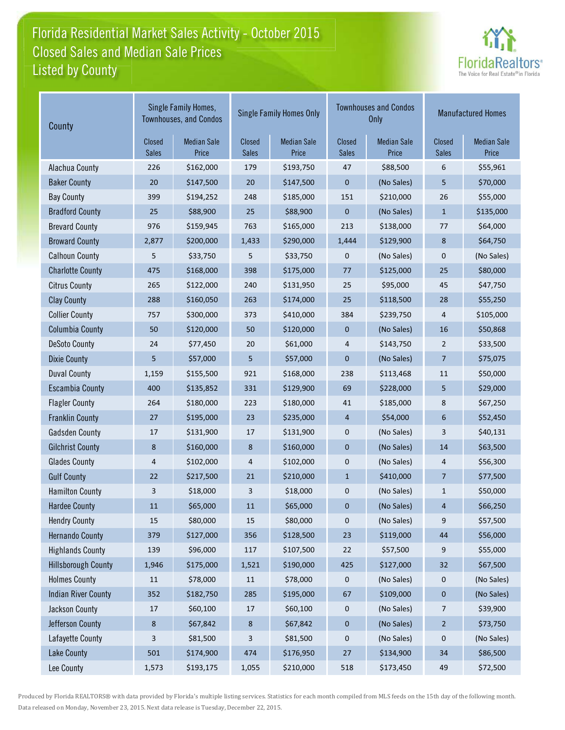## Florida Residential Market Sales Activity - October 2015 Florida Residential Market Sales Activity Listed by County-Closed Sales and Median Sale Prices



| County                     | Single Family Homes,<br><b>Townhouses, and Condos</b> |                             |                        | <b>Single Family Homes Only</b> |                               | <b>Townhouses and Condos</b><br><b>Only</b> | <b>Manufactured Homes</b>     |                             |  |
|----------------------------|-------------------------------------------------------|-----------------------------|------------------------|---------------------------------|-------------------------------|---------------------------------------------|-------------------------------|-----------------------------|--|
|                            | Closed<br><b>Sales</b>                                | <b>Median Sale</b><br>Price | Closed<br><b>Sales</b> | <b>Median Sale</b><br>Price     | <b>Closed</b><br><b>Sales</b> | <b>Median Sale</b><br>Price                 | <b>Closed</b><br><b>Sales</b> | <b>Median Sale</b><br>Price |  |
| Alachua County             | 226                                                   | \$162,000                   | 179                    | \$193,750                       | 47                            | \$88,500                                    | 6                             | \$55,961                    |  |
| <b>Baker County</b>        | 20                                                    | \$147,500                   | 20                     | \$147,500                       | 0                             | (No Sales)                                  | 5                             | \$70,000                    |  |
| <b>Bay County</b>          | 399                                                   | \$194,252                   | 248                    | \$185,000                       | 151                           | \$210,000                                   | 26                            | \$55,000                    |  |
| <b>Bradford County</b>     | 25                                                    | \$88,900                    | 25                     | \$88,900                        | 0                             | (No Sales)                                  | $\mathbf{1}$                  | \$135,000                   |  |
| <b>Brevard County</b>      | 976                                                   | \$159,945                   | 763                    | \$165,000                       | 213                           | \$138,000                                   | 77                            | \$64,000                    |  |
| <b>Broward County</b>      | 2,877                                                 | \$200,000                   | 1,433                  | \$290,000                       | 1,444                         | \$129,900                                   | 8                             | \$64,750                    |  |
| <b>Calhoun County</b>      | 5                                                     | \$33,750                    | 5                      | \$33,750                        | 0                             | (No Sales)                                  | 0                             | (No Sales)                  |  |
| <b>Charlotte County</b>    | 475                                                   | \$168,000                   | 398                    | \$175,000                       | 77                            | \$125,000                                   | 25                            | \$80,000                    |  |
| <b>Citrus County</b>       | 265                                                   | \$122,000                   | 240                    | \$131,950                       | 25                            | \$95,000                                    | 45                            | \$47,750                    |  |
| <b>Clay County</b>         | 288                                                   | \$160,050                   | 263                    | \$174,000                       | 25                            | \$118,500                                   | 28                            | \$55,250                    |  |
| <b>Collier County</b>      | 757                                                   | \$300,000                   | 373                    | \$410,000                       | 384                           | \$239,750                                   | 4                             | \$105,000                   |  |
| <b>Columbia County</b>     | 50                                                    | \$120,000                   | 50                     | \$120,000                       | 0                             | (No Sales)                                  | 16                            | \$50,868                    |  |
| <b>DeSoto County</b>       | 24                                                    | \$77,450                    | 20                     | \$61,000                        | 4                             | \$143,750                                   | $\overline{2}$                | \$33,500                    |  |
| <b>Dixie County</b>        | 5                                                     | \$57,000                    | 5                      | \$57,000                        | 0                             | (No Sales)                                  | $\overline{7}$                | \$75,075                    |  |
| <b>Duval County</b>        | 1,159                                                 | \$155,500                   | 921                    | \$168,000                       | 238                           | \$113,468                                   | 11                            | \$50,000                    |  |
| <b>Escambia County</b>     | 400                                                   | \$135,852                   | 331                    | \$129,900                       | 69                            | \$228,000                                   | 5                             | \$29,000                    |  |
| <b>Flagler County</b>      | 264                                                   | \$180,000                   | 223                    | \$180,000                       | 41                            | \$185,000                                   | 8                             | \$67,250                    |  |
| <b>Franklin County</b>     | 27                                                    | \$195,000                   | 23                     | \$235,000                       | 4                             | \$54,000                                    | 6                             | \$52,450                    |  |
| <b>Gadsden County</b>      | 17                                                    | \$131,900                   | 17                     | \$131,900                       | 0                             | (No Sales)                                  | 3                             | \$40,131                    |  |
| <b>Gilchrist County</b>    | 8                                                     | \$160,000                   | 8                      | \$160,000                       | 0                             | (No Sales)                                  | 14                            | \$63,500                    |  |
| <b>Glades County</b>       | 4                                                     | \$102,000                   | 4                      | \$102,000                       | 0                             | (No Sales)                                  | 4                             | \$56,300                    |  |
| <b>Gulf County</b>         | 22                                                    | \$217,500                   | 21                     | \$210,000                       | $\mathbf{1}$                  | \$410,000                                   | $\overline{7}$                | \$77,500                    |  |
| <b>Hamilton County</b>     | 3                                                     | \$18,000                    | 3                      | \$18,000                        | 0                             | (No Sales)                                  | $\mathbf{1}$                  | \$50,000                    |  |
| <b>Hardee County</b>       | 11                                                    | \$65,000                    | 11                     | \$65,000                        | 0                             | (No Sales)                                  | 4                             | \$66,250                    |  |
| <b>Hendry County</b>       | 15                                                    | \$80,000                    | 15                     | \$80,000                        | 0                             | (No Sales)                                  | 9                             | \$57,500                    |  |
| <b>Hernando County</b>     | 379                                                   | \$127,000                   | 356                    | \$128,500                       | 23                            | \$119,000                                   | $44\,$                        | \$56,000                    |  |
| <b>Highlands County</b>    | 139                                                   | \$96,000                    | 117                    | \$107,500                       | 22                            | \$57,500                                    | 9                             | \$55,000                    |  |
| <b>Hillsborough County</b> | 1,946                                                 | \$175,000                   | 1,521                  | \$190,000                       | 425                           | \$127,000                                   | 32                            | \$67,500                    |  |
| <b>Holmes County</b>       | $11\,$                                                | \$78,000                    | 11                     | \$78,000                        | 0                             | (No Sales)                                  | 0                             | (No Sales)                  |  |
| <b>Indian River County</b> | 352                                                   | \$182,750                   | 285                    | \$195,000                       | 67                            | \$109,000                                   | 0                             | (No Sales)                  |  |
| Jackson County             | 17                                                    | \$60,100                    | 17                     | \$60,100                        | 0                             | (No Sales)                                  | 7                             | \$39,900                    |  |
| Jefferson County           | 8                                                     | \$67,842                    | 8                      | \$67,842                        | 0                             | (No Sales)                                  | $\overline{2}$                | \$73,750                    |  |
| Lafayette County           | 3                                                     | \$81,500                    | 3                      | \$81,500                        | 0                             | (No Sales)                                  | 0                             | (No Sales)                  |  |
| Lake County                | 501                                                   | \$174,900                   | 474                    | \$176,950                       | 27                            | \$134,900                                   | 34                            | \$86,500                    |  |
| Lee County                 | 1,573                                                 | \$193,175                   | 1,055                  | \$210,000                       | 518                           | \$173,450                                   | 49                            | \$72,500                    |  |

Produced by Florida REALTORS® with data provided by Florida's multiple listing services. Statistics for each month compiled from MLS feeds on the 15th day of the following month. Data released on Monday, November 23, 2015. Next data release is Tuesday, December 22, 2015.